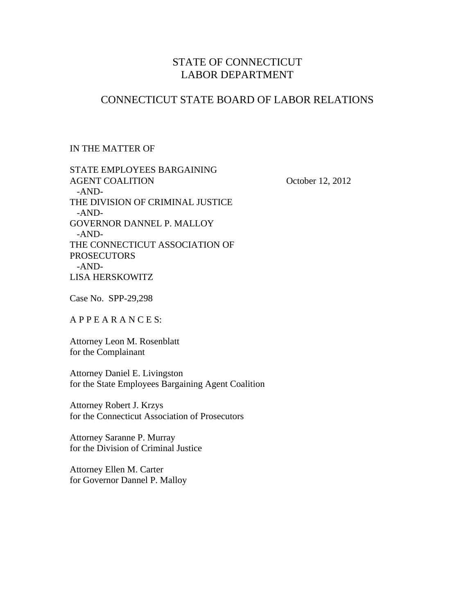# STATE OF CONNECTICUT LABOR DEPARTMENT

### CONNECTICUT STATE BOARD OF LABOR RELATIONS

### IN THE MATTER OF

STATE EMPLOYEES BARGAINING AGENT COALITION October 12, 2012 -AND-THE DIVISION OF CRIMINAL JUSTICE -AND-GOVERNOR DANNEL P. MALLOY -AND-THE CONNECTICUT ASSOCIATION OF **PROSECUTORS**  -AND-LISA HERSKOWITZ

Case No. SPP-29,298

A P P E A R A N C E S:

Attorney Leon M. Rosenblatt for the Complainant

Attorney Daniel E. Livingston for the State Employees Bargaining Agent Coalition

Attorney Robert J. Krzys for the Connecticut Association of Prosecutors

Attorney Saranne P. Murray for the Division of Criminal Justice

Attorney Ellen M. Carter for Governor Dannel P. Malloy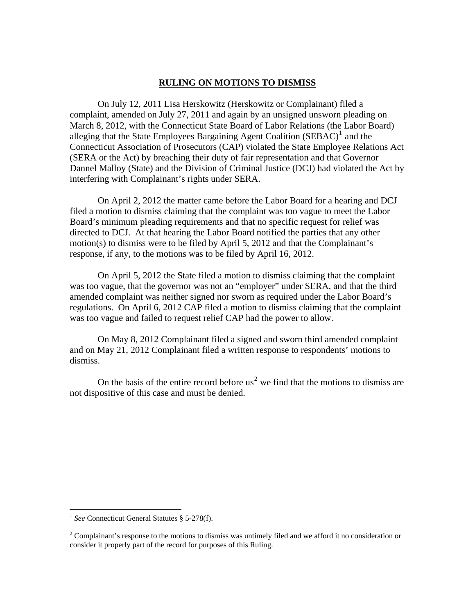### **RULING ON MOTIONS TO DISMISS**

 On July 12, 2011 Lisa Herskowitz (Herskowitz or Complainant) filed a complaint, amended on July 27, 2011 and again by an unsigned unsworn pleading on March 8, 2012, with the Connecticut State Board of Labor Relations (the Labor Board) alleging that the State Employees Bargaining Agent Coalition  $(SEBAC)^{1}$  $(SEBAC)^{1}$  $(SEBAC)^{1}$  and the Connecticut Association of Prosecutors (CAP) violated the State Employee Relations Act (SERA or the Act) by breaching their duty of fair representation and that Governor Dannel Malloy (State) and the Division of Criminal Justice (DCJ) had violated the Act by interfering with Complainant's rights under SERA.

 On April 2, 2012 the matter came before the Labor Board for a hearing and DCJ filed a motion to dismiss claiming that the complaint was too vague to meet the Labor Board's minimum pleading requirements and that no specific request for relief was directed to DCJ. At that hearing the Labor Board notified the parties that any other motion(s) to dismiss were to be filed by April 5, 2012 and that the Complainant's response, if any, to the motions was to be filed by April 16, 2012.

 On April 5, 2012 the State filed a motion to dismiss claiming that the complaint was too vague, that the governor was not an "employer" under SERA, and that the third amended complaint was neither signed nor sworn as required under the Labor Board's regulations. On April 6, 2012 CAP filed a motion to dismiss claiming that the complaint was too vague and failed to request relief CAP had the power to allow.

 On May 8, 2012 Complainant filed a signed and sworn third amended complaint and on May 21, 2012 Complainant filed a written response to respondents' motions to dismiss.

On the basis of the entire record before  $us<sup>2</sup>$  $us<sup>2</sup>$  $us<sup>2</sup>$  we find that the motions to dismiss are not dispositive of this case and must be denied.

 $\overline{a}$ 

<span id="page-1-0"></span><sup>&</sup>lt;sup>1</sup> See Connecticut General Statutes § 5-278(f).

<span id="page-1-1"></span> $2^2$  Complainant's response to the motions to dismiss was untimely filed and we afford it no consideration or consider it properly part of the record for purposes of this Ruling.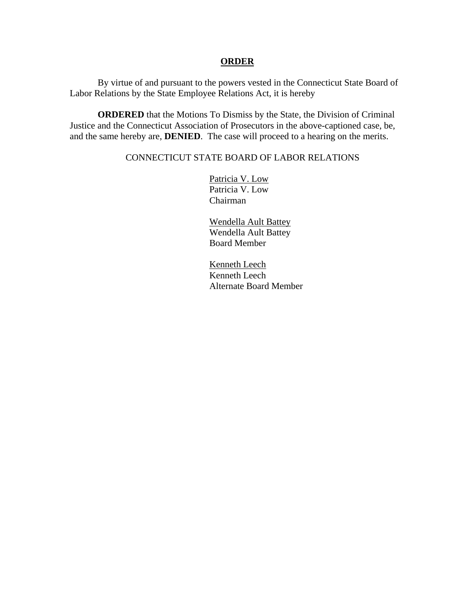#### **ORDER**

 By virtue of and pursuant to the powers vested in the Connecticut State Board of Labor Relations by the State Employee Relations Act, it is hereby

**ORDERED** that the Motions To Dismiss by the State, the Division of Criminal Justice and the Connecticut Association of Prosecutors in the above-captioned case, be, and the same hereby are, **DENIED**. The case will proceed to a hearing on the merits.

### CONNECTICUT STATE BOARD OF LABOR RELATIONS

 Patricia V. Low Patricia V. Low Chairman

 Wendella Ault Battey Wendella Ault Battey Board Member

 Kenneth Leech Kenneth Leech Alternate Board Member